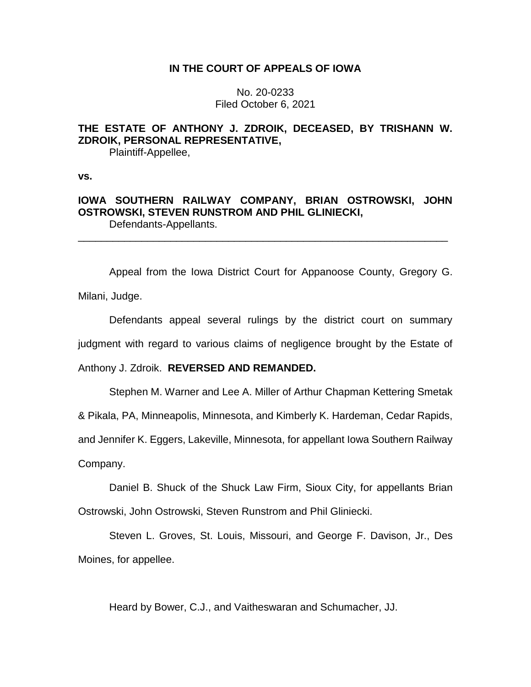# **IN THE COURT OF APPEALS OF IOWA**

No. 20-0233 Filed October 6, 2021

# **THE ESTATE OF ANTHONY J. ZDROIK, DECEASED, BY TRISHANN W. ZDROIK, PERSONAL REPRESENTATIVE,**

Plaintiff-Appellee,

**vs.**

# **IOWA SOUTHERN RAILWAY COMPANY, BRIAN OSTROWSKI, JOHN OSTROWSKI, STEVEN RUNSTROM AND PHIL GLINIECKI,** Defendants-Appellants.

\_\_\_\_\_\_\_\_\_\_\_\_\_\_\_\_\_\_\_\_\_\_\_\_\_\_\_\_\_\_\_\_\_\_\_\_\_\_\_\_\_\_\_\_\_\_\_\_\_\_\_\_\_\_\_\_\_\_\_\_\_\_\_\_

Appeal from the Iowa District Court for Appanoose County, Gregory G. Milani, Judge.

Defendants appeal several rulings by the district court on summary judgment with regard to various claims of negligence brought by the Estate of

Anthony J. Zdroik. **REVERSED AND REMANDED.**

Stephen M. Warner and Lee A. Miller of Arthur Chapman Kettering Smetak

& Pikala, PA, Minneapolis, Minnesota, and Kimberly K. Hardeman, Cedar Rapids,

and Jennifer K. Eggers, Lakeville, Minnesota, for appellant Iowa Southern Railway

Company.

Daniel B. Shuck of the Shuck Law Firm, Sioux City, for appellants Brian

Ostrowski, John Ostrowski, Steven Runstrom and Phil Gliniecki.

Steven L. Groves, St. Louis, Missouri, and George F. Davison, Jr., Des Moines, for appellee.

Heard by Bower, C.J., and Vaitheswaran and Schumacher, JJ.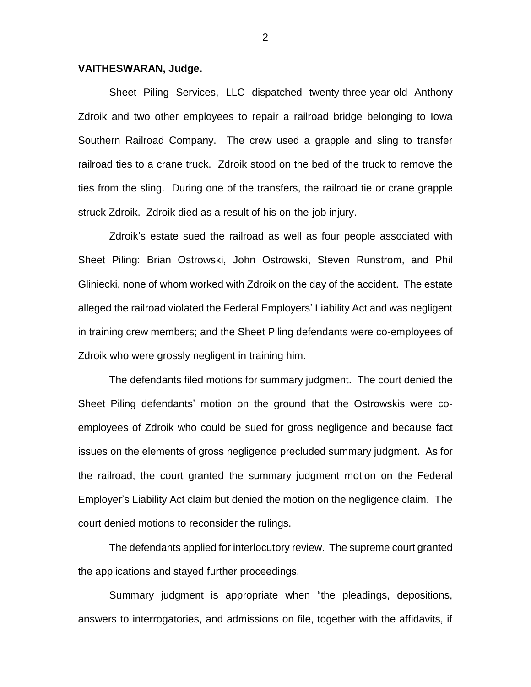### **VAITHESWARAN, Judge.**

Sheet Piling Services, LLC dispatched twenty-three-year-old Anthony Zdroik and two other employees to repair a railroad bridge belonging to Iowa Southern Railroad Company. The crew used a grapple and sling to transfer railroad ties to a crane truck. Zdroik stood on the bed of the truck to remove the ties from the sling. During one of the transfers, the railroad tie or crane grapple struck Zdroik. Zdroik died as a result of his on-the-job injury.

Zdroik's estate sued the railroad as well as four people associated with Sheet Piling: Brian Ostrowski, John Ostrowski, Steven Runstrom, and Phil Gliniecki, none of whom worked with Zdroik on the day of the accident. The estate alleged the railroad violated the Federal Employers' Liability Act and was negligent in training crew members; and the Sheet Piling defendants were co-employees of Zdroik who were grossly negligent in training him.

The defendants filed motions for summary judgment. The court denied the Sheet Piling defendants' motion on the ground that the Ostrowskis were coemployees of Zdroik who could be sued for gross negligence and because fact issues on the elements of gross negligence precluded summary judgment. As for the railroad, the court granted the summary judgment motion on the Federal Employer's Liability Act claim but denied the motion on the negligence claim. The court denied motions to reconsider the rulings.

The defendants applied for interlocutory review. The supreme court granted the applications and stayed further proceedings.

Summary judgment is appropriate when "the pleadings, depositions, answers to interrogatories, and admissions on file, together with the affidavits, if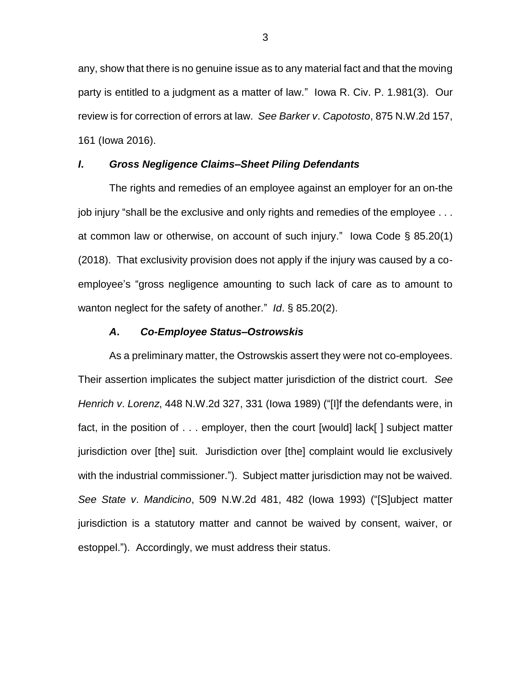any, show that there is no genuine issue as to any material fact and that the moving party is entitled to a judgment as a matter of law." Iowa R. Civ. P. 1.981(3). Our review is for correction of errors at law. *See Barker v*. *Capotosto*, 875 N.W.2d 157, 161 (Iowa 2016).

## *I***.** *Gross Negligence Claims–Sheet Piling Defendants*

The rights and remedies of an employee against an employer for an on-the job injury "shall be the exclusive and only rights and remedies of the employee . . . at common law or otherwise, on account of such injury." Iowa Code § 85.20(1) (2018). That exclusivity provision does not apply if the injury was caused by a coemployee's "gross negligence amounting to such lack of care as to amount to wanton neglect for the safety of another." *Id*. § 85.20(2).

#### *A***.** *Co-Employee Status–Ostrowskis*

As a preliminary matter, the Ostrowskis assert they were not co-employees. Their assertion implicates the subject matter jurisdiction of the district court. *See Henrich v*. *Lorenz*, 448 N.W.2d 327, 331 (Iowa 1989) ("[I]f the defendants were, in fact, in the position of . . . employer, then the court [would] lack[ ] subject matter jurisdiction over [the] suit. Jurisdiction over [the] complaint would lie exclusively with the industrial commissioner."). Subject matter jurisdiction may not be waived. *See State v*. *Mandicino*, 509 N.W.2d 481, 482 (Iowa 1993) ("[S]ubject matter jurisdiction is a statutory matter and cannot be waived by consent, waiver, or estoppel."). Accordingly, we must address their status.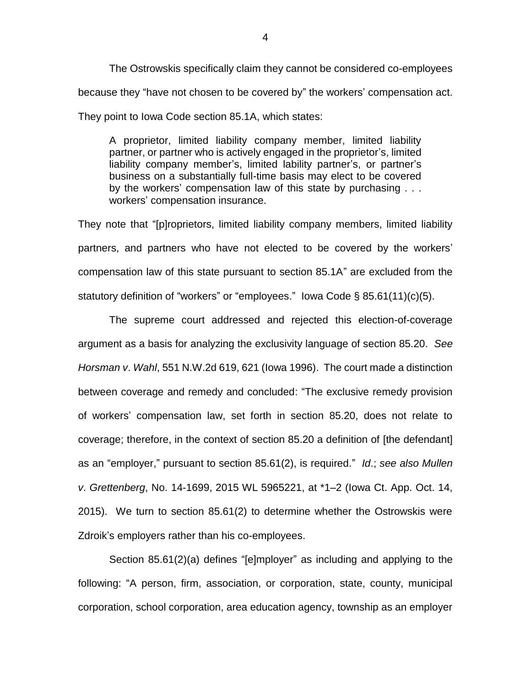The Ostrowskis specifically claim they cannot be considered co-employees because they "have not chosen to be covered by" the workers' compensation act. They point to Iowa Code section 85.1A, which states:

A proprietor, limited liability company member, limited liability partner, or partner who is actively engaged in the proprietor's, limited liability company member's, limited lability partner's, or partner's business on a substantially full-time basis may elect to be covered by the workers' compensation law of this state by purchasing . . . workers' compensation insurance.

They note that "[p]roprietors, limited liability company members, limited liability partners, and partners who have not elected to be covered by the workers' compensation law of this state pursuant to section 85.1A" are excluded from the statutory definition of "workers" or "employees." Iowa Code § 85.61(11)(c)(5).

The supreme court addressed and rejected this election-of-coverage argument as a basis for analyzing the exclusivity language of section 85.20. *See Horsman v*. *Wahl*, 551 N.W.2d 619, 621 (Iowa 1996). The court made a distinction between coverage and remedy and concluded: "The exclusive remedy provision of workers' compensation law, set forth in section 85.20, does not relate to coverage; therefore, in the context of section 85.20 a definition of [the defendant] as an "employer," pursuant to section 85.61(2), is required." *Id*.; *see also Mullen v*. *Grettenberg*, No. 14-1699, 2015 WL 5965221, at \*1–2 (Iowa Ct. App. Oct. 14, 2015). We turn to section 85.61(2) to determine whether the Ostrowskis were Zdroik's employers rather than his co-employees.

Section 85.61(2)(a) defines "[e]mployer" as including and applying to the following: "A person, firm, association, or corporation, state, county, municipal corporation, school corporation, area education agency, township as an employer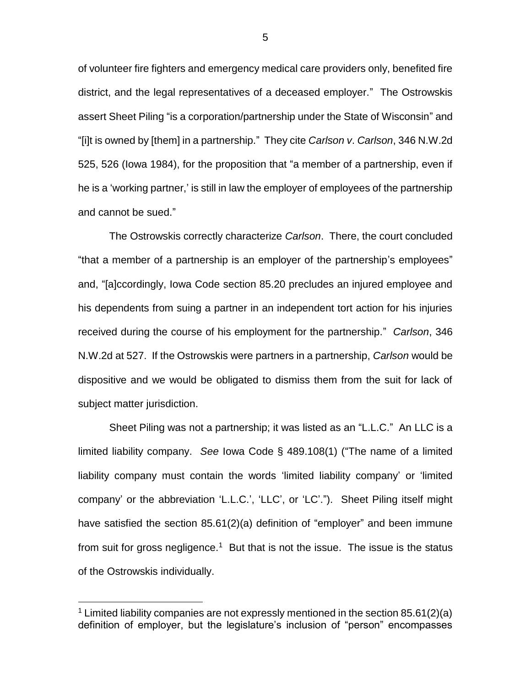of volunteer fire fighters and emergency medical care providers only, benefited fire district, and the legal representatives of a deceased employer." The Ostrowskis assert Sheet Piling "is a corporation/partnership under the State of Wisconsin" and "[i]t is owned by [them] in a partnership." They cite *Carlson v*. *Carlson*, 346 N.W.2d 525, 526 (Iowa 1984), for the proposition that "a member of a partnership, even if he is a 'working partner,' is still in law the employer of employees of the partnership and cannot be sued."

The Ostrowskis correctly characterize *Carlson*. There, the court concluded "that a member of a partnership is an employer of the partnership's employees" and, "[a]ccordingly, Iowa Code section 85.20 precludes an injured employee and his dependents from suing a partner in an independent tort action for his injuries received during the course of his employment for the partnership." *Carlson*, 346 N.W.2d at 527. If the Ostrowskis were partners in a partnership, *Carlson* would be dispositive and we would be obligated to dismiss them from the suit for lack of subject matter jurisdiction.

Sheet Piling was not a partnership; it was listed as an "L.L.C." An LLC is a limited liability company. *See* Iowa Code § 489.108(1) ("The name of a limited liability company must contain the words 'limited liability company' or 'limited company' or the abbreviation 'L.L.C.', 'LLC', or 'LC'."). Sheet Piling itself might have satisfied the section 85.61(2)(a) definition of "employer" and been immune from suit for gross negligence.<sup>1</sup> But that is not the issue. The issue is the status of the Ostrowskis individually.

<sup>&</sup>lt;sup>1</sup> Limited liability companies are not expressly mentioned in the section 85.61(2)(a) definition of employer, but the legislature's inclusion of "person" encompasses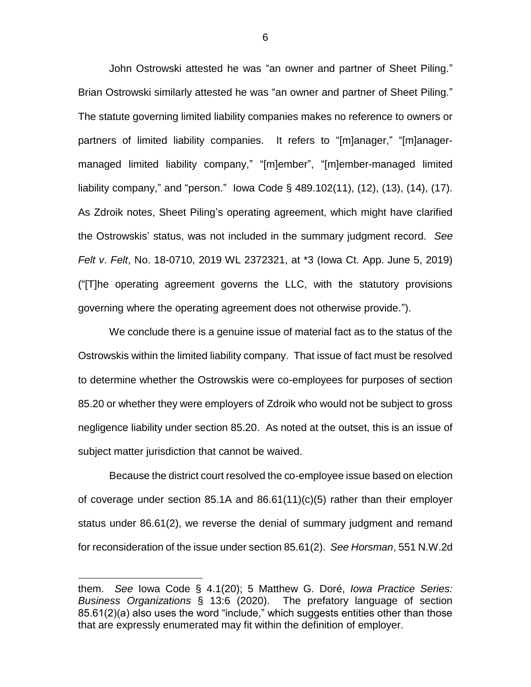John Ostrowski attested he was "an owner and partner of Sheet Piling." Brian Ostrowski similarly attested he was "an owner and partner of Sheet Piling." The statute governing limited liability companies makes no reference to owners or partners of limited liability companies. It refers to "[m]anager," "[m]anagermanaged limited liability company," "[m]ember", "[m]ember-managed limited liability company," and "person." Iowa Code § 489.102(11), (12), (13), (14), (17). As Zdroik notes, Sheet Piling's operating agreement, which might have clarified the Ostrowskis' status, was not included in the summary judgment record. *See Felt v*. *Felt*, No. 18-0710, 2019 WL 2372321, at \*3 (Iowa Ct. App. June 5, 2019) ("[T]he operating agreement governs the LLC, with the statutory provisions governing where the operating agreement does not otherwise provide.").

We conclude there is a genuine issue of material fact as to the status of the Ostrowskis within the limited liability company. That issue of fact must be resolved to determine whether the Ostrowskis were co-employees for purposes of section 85.20 or whether they were employers of Zdroik who would not be subject to gross negligence liability under section 85.20. As noted at the outset, this is an issue of subject matter jurisdiction that cannot be waived.

Because the district court resolved the co-employee issue based on election of coverage under section 85.1A and 86.61(11)(c)(5) rather than their employer status under 86.61(2), we reverse the denial of summary judgment and remand for reconsideration of the issue under section 85.61(2). *See Horsman*, 551 N.W.2d

them. *See* Iowa Code § 4.1(20); 5 Matthew G. Doré, *Iowa Practice Series: Business Organizations* § 13:6 (2020). The prefatory language of section 85.61(2)(a) also uses the word "include," which suggests entities other than those that are expressly enumerated may fit within the definition of employer.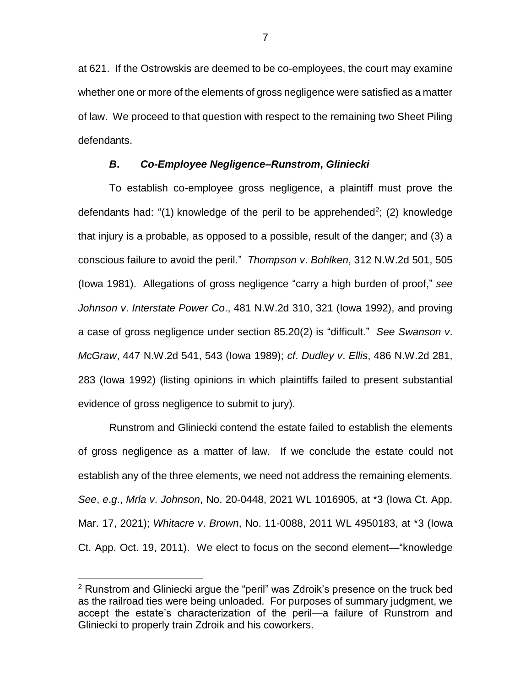at 621. If the Ostrowskis are deemed to be co-employees, the court may examine whether one or more of the elements of gross negligence were satisfied as a matter of law. We proceed to that question with respect to the remaining two Sheet Piling defendants.

# *B***.** *Co-Employee Negligence–Runstrom***,** *Gliniecki*

To establish co-employee gross negligence, a plaintiff must prove the defendants had: "(1) knowledge of the peril to be apprehended<sup>2</sup>; (2) knowledge that injury is a probable, as opposed to a possible, result of the danger; and (3) a conscious failure to avoid the peril." *Thompson v*. *Bohlken*, 312 N.W.2d 501, 505 (Iowa 1981). Allegations of gross negligence "carry a high burden of proof," *see Johnson v*. *Interstate Power Co*., 481 N.W.2d 310, 321 (Iowa 1992), and proving a case of gross negligence under section 85.20(2) is "difficult." *See Swanson v*. *McGraw*, 447 N.W.2d 541, 543 (Iowa 1989); *cf*. *Dudley v*. *Ellis*, 486 N.W.2d 281, 283 (Iowa 1992) (listing opinions in which plaintiffs failed to present substantial evidence of gross negligence to submit to jury).

Runstrom and Gliniecki contend the estate failed to establish the elements of gross negligence as a matter of law. If we conclude the estate could not establish any of the three elements, we need not address the remaining elements. *See*, *e*.*g*., *Mrla v*. *Johnson*, No. 20-0448, 2021 WL 1016905, at \*3 (Iowa Ct. App. Mar. 17, 2021); *Whitacre v*. *Brown*, No. 11-0088, 2011 WL 4950183, at \*3 (Iowa Ct. App. Oct. 19, 2011). We elect to focus on the second element—"knowledge

 $2$  Runstrom and Gliniecki argue the "peril" was Zdroik's presence on the truck bed as the railroad ties were being unloaded. For purposes of summary judgment, we accept the estate's characterization of the peril—a failure of Runstrom and Gliniecki to properly train Zdroik and his coworkers.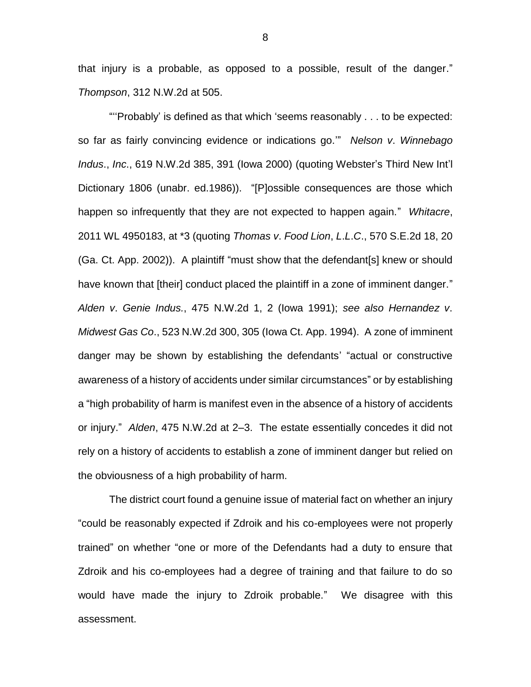that injury is a probable, as opposed to a possible, result of the danger." *Thompson*, 312 N.W.2d at 505.

"''Probably' is defined as that which 'seems reasonably . . . to be expected: so far as fairly convincing evidence or indications go.'" *Nelson v*. *Winnebago Indus*., *Inc*., 619 N.W.2d 385, 391 (Iowa 2000) (quoting Webster's Third New Int'l Dictionary 1806 (unabr. ed.1986)). "[P]ossible consequences are those which happen so infrequently that they are not expected to happen again." *Whitacre*, 2011 WL 4950183, at \*3 (quoting *Thomas v*. *Food Lion*, *L*.*L*.*C*., 570 S.E.2d 18, 20 (Ga. Ct. App. 2002)). A plaintiff "must show that the defendant[s] knew or should have known that [their] conduct placed the plaintiff in a zone of imminent danger." *Alden v*. *Genie Indus.*, 475 N.W.2d 1, 2 (Iowa 1991); *see also Hernandez v*. *Midwest Gas Co*., 523 N.W.2d 300, 305 (Iowa Ct. App. 1994). A zone of imminent danger may be shown by establishing the defendants' "actual or constructive awareness of a history of accidents under similar circumstances" or by establishing a "high probability of harm is manifest even in the absence of a history of accidents or injury." *Alden*, 475 N.W.2d at 2–3. The estate essentially concedes it did not rely on a history of accidents to establish a zone of imminent danger but relied on the obviousness of a high probability of harm.

The district court found a genuine issue of material fact on whether an injury "could be reasonably expected if Zdroik and his co-employees were not properly trained" on whether "one or more of the Defendants had a duty to ensure that Zdroik and his co-employees had a degree of training and that failure to do so would have made the injury to Zdroik probable." We disagree with this assessment.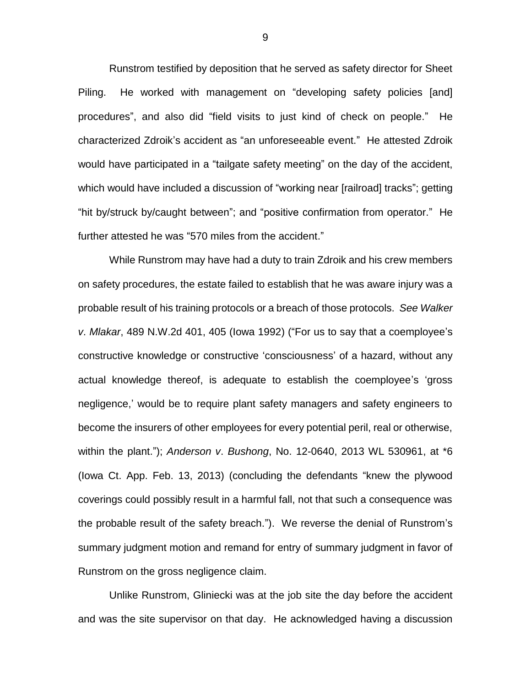Runstrom testified by deposition that he served as safety director for Sheet Piling. He worked with management on "developing safety policies [and] procedures", and also did "field visits to just kind of check on people." He characterized Zdroik's accident as "an unforeseeable event." He attested Zdroik would have participated in a "tailgate safety meeting" on the day of the accident, which would have included a discussion of "working near [railroad] tracks"; getting "hit by/struck by/caught between"; and "positive confirmation from operator." He further attested he was "570 miles from the accident."

While Runstrom may have had a duty to train Zdroik and his crew members on safety procedures, the estate failed to establish that he was aware injury was a probable result of his training protocols or a breach of those protocols. *See Walker v*. *Mlakar*, 489 N.W.2d 401, 405 (Iowa 1992) ("For us to say that a coemployee's constructive knowledge or constructive 'consciousness' of a hazard, without any actual knowledge thereof, is adequate to establish the coemployee's 'gross negligence,' would be to require plant safety managers and safety engineers to become the insurers of other employees for every potential peril, real or otherwise, within the plant."); *Anderson v*. *Bushong*, No. 12-0640, 2013 WL 530961, at \*6 (Iowa Ct. App. Feb. 13, 2013) (concluding the defendants "knew the plywood coverings could possibly result in a harmful fall, not that such a consequence was the probable result of the safety breach."). We reverse the denial of Runstrom's summary judgment motion and remand for entry of summary judgment in favor of Runstrom on the gross negligence claim.

Unlike Runstrom, Gliniecki was at the job site the day before the accident and was the site supervisor on that day. He acknowledged having a discussion

9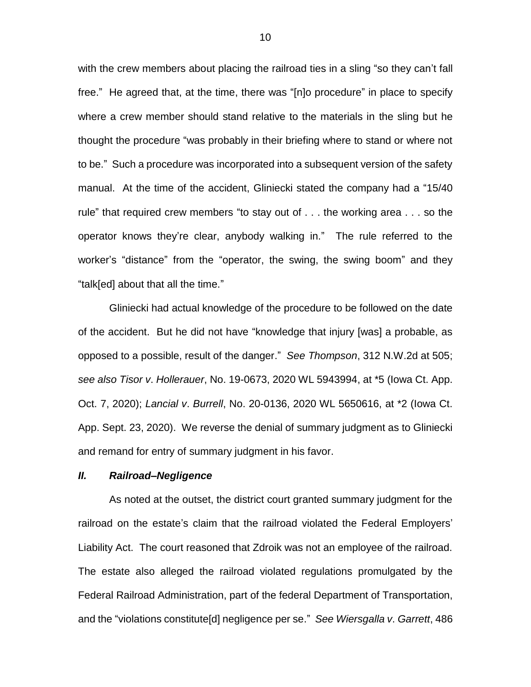with the crew members about placing the railroad ties in a sling "so they can't fall free." He agreed that, at the time, there was "[n]o procedure" in place to specify where a crew member should stand relative to the materials in the sling but he thought the procedure "was probably in their briefing where to stand or where not to be." Such a procedure was incorporated into a subsequent version of the safety manual. At the time of the accident, Gliniecki stated the company had a "15/40 rule" that required crew members "to stay out of . . . the working area . . . so the operator knows they're clear, anybody walking in." The rule referred to the worker's "distance" from the "operator, the swing, the swing boom" and they "talk[ed] about that all the time."

Gliniecki had actual knowledge of the procedure to be followed on the date of the accident. But he did not have "knowledge that injury [was] a probable, as opposed to a possible, result of the danger." *See Thompson*, 312 N.W.2d at 505; *see also Tisor v*. *Hollerauer*, No. 19-0673, 2020 WL 5943994, at \*5 (Iowa Ct. App. Oct. 7, 2020); *Lancial v*. *Burrell*, No. 20-0136, 2020 WL 5650616, at \*2 (Iowa Ct. App. Sept. 23, 2020). We reverse the denial of summary judgment as to Gliniecki and remand for entry of summary judgment in his favor.

### *II. Railroad–Negligence*

As noted at the outset, the district court granted summary judgment for the railroad on the estate's claim that the railroad violated the Federal Employers' Liability Act. The court reasoned that Zdroik was not an employee of the railroad. The estate also alleged the railroad violated regulations promulgated by the Federal Railroad Administration, part of the federal Department of Transportation, and the "violations constitute[d] negligence per se." *See Wiersgalla v*. *Garrett*, 486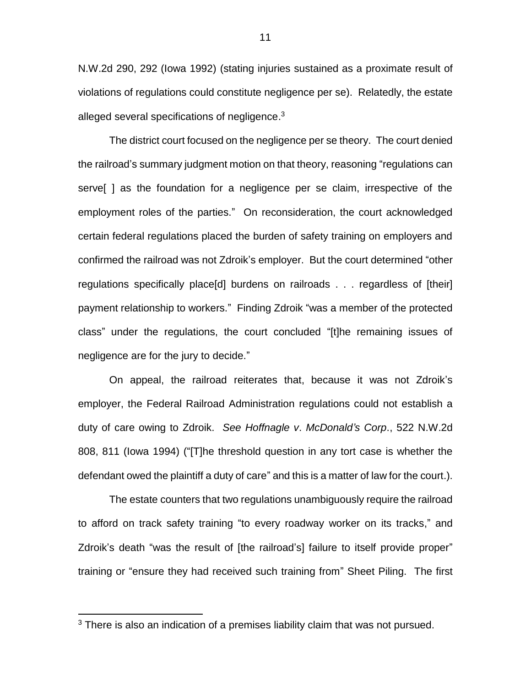N.W.2d 290, 292 (Iowa 1992) (stating injuries sustained as a proximate result of violations of regulations could constitute negligence per se). Relatedly, the estate alleged several specifications of negligence. $3$ 

The district court focused on the negligence per se theory. The court denied the railroad's summary judgment motion on that theory, reasoning "regulations can serve[ ] as the foundation for a negligence per se claim, irrespective of the employment roles of the parties." On reconsideration, the court acknowledged certain federal regulations placed the burden of safety training on employers and confirmed the railroad was not Zdroik's employer. But the court determined "other regulations specifically place[d] burdens on railroads . . . regardless of [their] payment relationship to workers." Finding Zdroik "was a member of the protected class" under the regulations, the court concluded "[t]he remaining issues of negligence are for the jury to decide."

On appeal, the railroad reiterates that, because it was not Zdroik's employer, the Federal Railroad Administration regulations could not establish a duty of care owing to Zdroik. *See Hoffnagle v*. *McDonald's Corp*., 522 N.W.2d 808, 811 (Iowa 1994) ("[T]he threshold question in any tort case is whether the defendant owed the plaintiff a duty of care" and this is a matter of law for the court.).

The estate counters that two regulations unambiguously require the railroad to afford on track safety training "to every roadway worker on its tracks," and Zdroik's death "was the result of [the railroad's] failure to itself provide proper" training or "ensure they had received such training from" Sheet Piling. The first

 $3$  There is also an indication of a premises liability claim that was not pursued.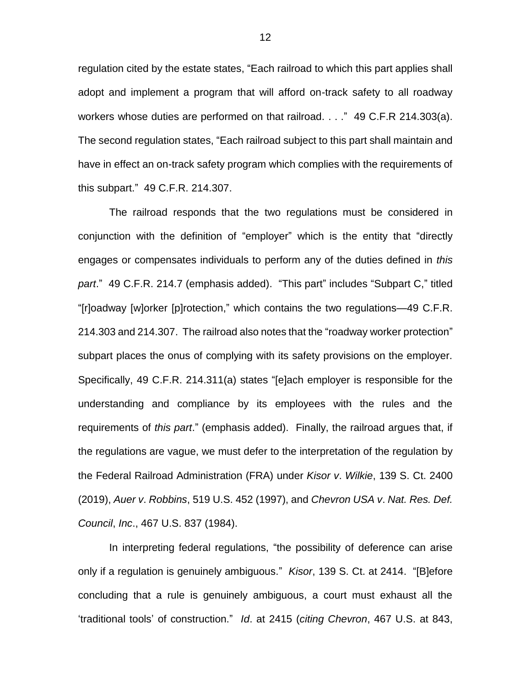regulation cited by the estate states, "Each railroad to which this part applies shall adopt and implement a program that will afford on-track safety to all roadway workers whose duties are performed on that railroad. . . ." 49 C.F.R 214.303(a). The second regulation states, "Each railroad subject to this part shall maintain and have in effect an on-track safety program which complies with the requirements of this subpart." 49 C.F.R. 214.307.

The railroad responds that the two regulations must be considered in conjunction with the definition of "employer" which is the entity that "directly engages or compensates individuals to perform any of the duties defined in *this part*." 49 C.F.R. 214.7 (emphasis added). "This part" includes "Subpart C," titled "[r]oadway [w]orker [p]rotection," which contains the two regulations—49 C.F.R. 214.303 and 214.307. The railroad also notes that the "roadway worker protection" subpart places the onus of complying with its safety provisions on the employer. Specifically, 49 C.F.R. 214.311(a) states "[e]ach employer is responsible for the understanding and compliance by its employees with the rules and the requirements of *this part*." (emphasis added). Finally, the railroad argues that, if the regulations are vague, we must defer to the interpretation of the regulation by the Federal Railroad Administration (FRA) under *Kisor v*. *Wilkie*, 139 S. Ct. 2400 (2019), *Auer v*. *Robbins*, 519 U.S. 452 (1997), and *Chevron USA v*. *Nat. Res. Def. Council*, *Inc*., 467 U.S. 837 (1984).

In interpreting federal regulations, "the possibility of deference can arise only if a regulation is genuinely ambiguous." *Kisor*, 139 S. Ct. at 2414. "[B]efore concluding that a rule is genuinely ambiguous, a court must exhaust all the 'traditional tools' of construction." *Id*. at 2415 (*citing Chevron*, 467 U.S. at 843,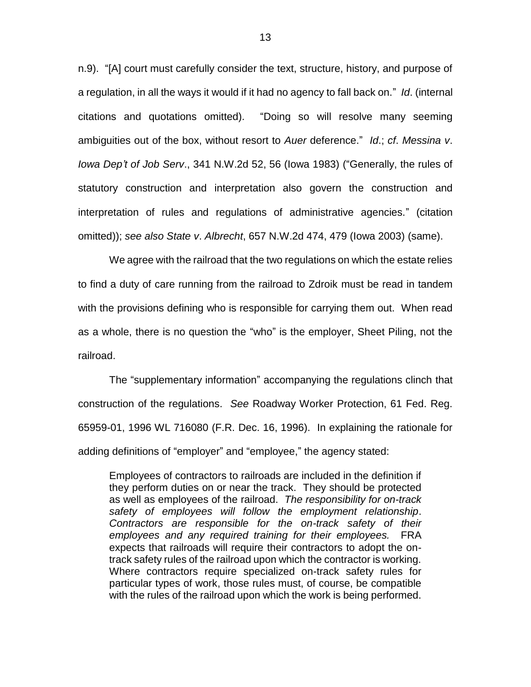n.9). "[A] court must carefully consider the text, structure, history, and purpose of a regulation, in all the ways it would if it had no agency to fall back on." *Id*. (internal citations and quotations omitted). "Doing so will resolve many seeming ambiguities out of the box, without resort to *Auer* deference." *Id*.; *cf*. *Messina v*. *Iowa Dep't of Job Serv*., 341 N.W.2d 52, 56 (Iowa 1983) ("Generally, the rules of statutory construction and interpretation also govern the construction and interpretation of rules and regulations of administrative agencies." (citation omitted)); *see also State v*. *Albrecht*, 657 N.W.2d 474, 479 (Iowa 2003) (same).

We agree with the railroad that the two regulations on which the estate relies to find a duty of care running from the railroad to Zdroik must be read in tandem with the provisions defining who is responsible for carrying them out. When read as a whole, there is no question the "who" is the employer, Sheet Piling, not the railroad.

The "supplementary information" accompanying the regulations clinch that construction of the regulations. *See* Roadway Worker Protection, 61 Fed. Reg. 65959-01, 1996 WL 716080 (F.R. Dec. 16, 1996). In explaining the rationale for adding definitions of "employer" and "employee," the agency stated:

Employees of contractors to railroads are included in the definition if they perform duties on or near the track. They should be protected as well as employees of the railroad. *The responsibility for on-track safety of employees will follow the employment relationship*. *Contractors are responsible for the on-track safety of their employees and any required training for their employees.* FRA expects that railroads will require their contractors to adopt the ontrack safety rules of the railroad upon which the contractor is working. Where contractors require specialized on-track safety rules for particular types of work, those rules must, of course, be compatible with the rules of the railroad upon which the work is being performed.